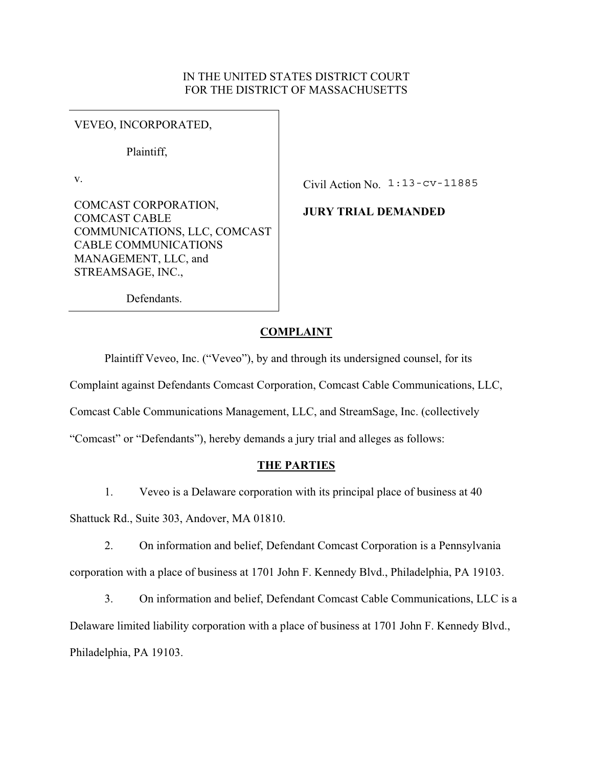# IN THE UNITED STATES DISTRICT COURT FOR THE DISTRICT OF MASSACHUSETTS

VEVEO, INCORPORATED,

Plaintiff,

v.

COMCAST CORPORATION, COMCAST CABLE COMMUNICATIONS, LLC, COMCAST CABLE COMMUNICATIONS MANAGEMENT, LLC, and STREAMSAGE, INC.,

Civil Action No. 1:13-cv-11885

**JURY TRIAL DEMANDED** 

Defendants.

# **COMPLAINT**

Plaintiff Veveo, Inc. ("Veveo"), by and through its undersigned counsel, for its Complaint against Defendants Comcast Corporation, Comcast Cable Communications, LLC, Comcast Cable Communications Management, LLC, and StreamSage, Inc. (collectively "Comcast" or "Defendants"), hereby demands a jury trial and alleges as follows:

# **THE PARTIES**

1. Veveo is a Delaware corporation with its principal place of business at 40 Shattuck Rd., Suite 303, Andover, MA 01810.

2. On information and belief, Defendant Comcast Corporation is a Pennsylvania corporation with a place of business at 1701 John F. Kennedy Blvd., Philadelphia, PA 19103.

3. On information and belief, Defendant Comcast Cable Communications, LLC is a Delaware limited liability corporation with a place of business at 1701 John F. Kennedy Blvd., Philadelphia, PA 19103.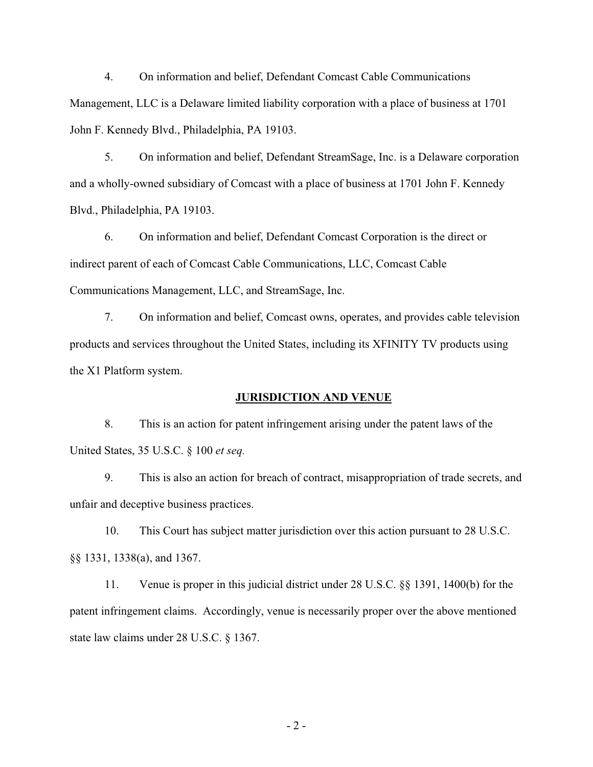4. On information and belief, Defendant Comcast Cable Communications Management, LLC is a Delaware limited liability corporation with a place of business at 1701 John F. Kennedy Blvd., Philadelphia, PA 19103.

5. On information and belief, Defendant StreamSage, Inc. is a Delaware corporation and a wholly-owned subsidiary of Comcast with a place of business at 1701 John F. Kennedy Blvd., Philadelphia, PA 19103.

6. On information and belief, Defendant Comcast Corporation is the direct or indirect parent of each of Comcast Cable Communications, LLC, Comcast Cable Communications Management, LLC, and StreamSage, Inc.

7. On information and belief, Comcast owns, operates, and provides cable television products and services throughout the United States, including its XFINITY TV products using the X1 Platform system.

# **JURISDICTION AND VENUE**

8. This is an action for patent infringement arising under the patent laws of the United States, 35 U.S.C. § 100 *et seq.*

9. This is also an action for breach of contract, misappropriation of trade secrets, and unfair and deceptive business practices.

10. This Court has subject matter jurisdiction over this action pursuant to 28 U.S.C. §§ 1331, 1338(a), and 1367.

11. Venue is proper in this judicial district under 28 U.S.C. §§ 1391, 1400(b) for the patent infringement claims. Accordingly, venue is necessarily proper over the above mentioned state law claims under 28 U.S.C. § 1367.

 $-2-$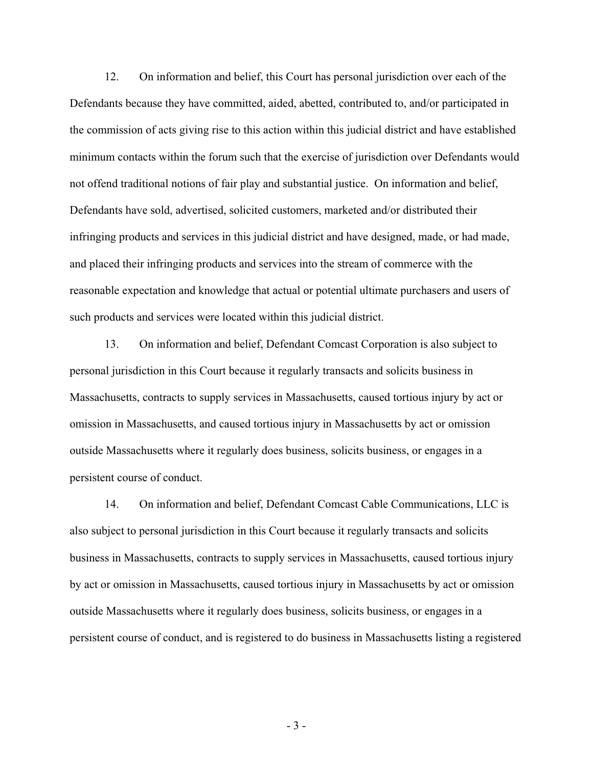12. On information and belief, this Court has personal jurisdiction over each of the Defendants because they have committed, aided, abetted, contributed to, and/or participated in the commission of acts giving rise to this action within this judicial district and have established minimum contacts within the forum such that the exercise of jurisdiction over Defendants would not offend traditional notions of fair play and substantial justice. On information and belief, Defendants have sold, advertised, solicited customers, marketed and/or distributed their infringing products and services in this judicial district and have designed, made, or had made, and placed their infringing products and services into the stream of commerce with the reasonable expectation and knowledge that actual or potential ultimate purchasers and users of such products and services were located within this judicial district.

13. On information and belief, Defendant Comcast Corporation is also subject to personal jurisdiction in this Court because it regularly transacts and solicits business in Massachusetts, contracts to supply services in Massachusetts, caused tortious injury by act or omission in Massachusetts, and caused tortious injury in Massachusetts by act or omission outside Massachusetts where it regularly does business, solicits business, or engages in a persistent course of conduct.

14. On information and belief, Defendant Comcast Cable Communications, LLC is also subject to personal jurisdiction in this Court because it regularly transacts and solicits business in Massachusetts, contracts to supply services in Massachusetts, caused tortious injury by act or omission in Massachusetts, caused tortious injury in Massachusetts by act or omission outside Massachusetts where it regularly does business, solicits business, or engages in a persistent course of conduct, and is registered to do business in Massachusetts listing a registered

- 3 -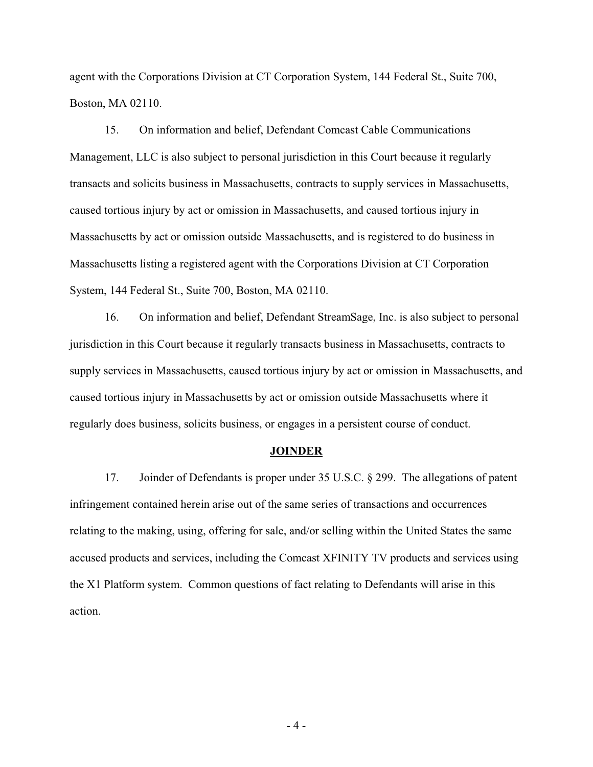agent with the Corporations Division at CT Corporation System, 144 Federal St., Suite 700, Boston, MA 02110.

15. On information and belief, Defendant Comcast Cable Communications Management, LLC is also subject to personal jurisdiction in this Court because it regularly transacts and solicits business in Massachusetts, contracts to supply services in Massachusetts, caused tortious injury by act or omission in Massachusetts, and caused tortious injury in Massachusetts by act or omission outside Massachusetts, and is registered to do business in Massachusetts listing a registered agent with the Corporations Division at CT Corporation System, 144 Federal St., Suite 700, Boston, MA 02110.

16. On information and belief, Defendant StreamSage, Inc. is also subject to personal jurisdiction in this Court because it regularly transacts business in Massachusetts, contracts to supply services in Massachusetts, caused tortious injury by act or omission in Massachusetts, and caused tortious injury in Massachusetts by act or omission outside Massachusetts where it regularly does business, solicits business, or engages in a persistent course of conduct.

#### **JOINDER**

17. Joinder of Defendants is proper under 35 U.S.C. § 299. The allegations of patent infringement contained herein arise out of the same series of transactions and occurrences relating to the making, using, offering for sale, and/or selling within the United States the same accused products and services, including the Comcast XFINITY TV products and services using the X1 Platform system. Common questions of fact relating to Defendants will arise in this action.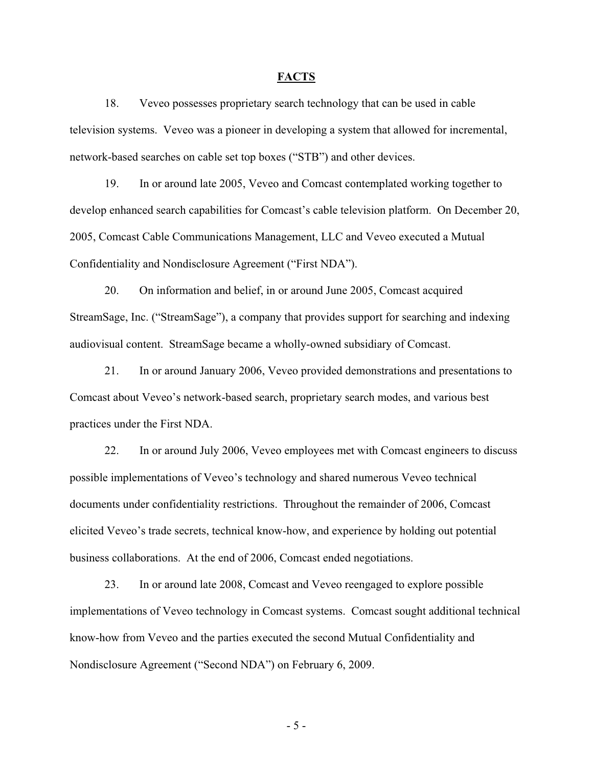# **FACTS**

18. Veveo possesses proprietary search technology that can be used in cable television systems. Veveo was a pioneer in developing a system that allowed for incremental, network-based searches on cable set top boxes ("STB") and other devices.

19. In or around late 2005, Veveo and Comcast contemplated working together to develop enhanced search capabilities for Comcast's cable television platform. On December 20, 2005, Comcast Cable Communications Management, LLC and Veveo executed a Mutual Confidentiality and Nondisclosure Agreement ("First NDA").

20. On information and belief, in or around June 2005, Comcast acquired StreamSage, Inc. ("StreamSage"), a company that provides support for searching and indexing audiovisual content. StreamSage became a wholly-owned subsidiary of Comcast.

21. In or around January 2006, Veveo provided demonstrations and presentations to Comcast about Veveo's network-based search, proprietary search modes, and various best practices under the First NDA.

22. In or around July 2006, Veveo employees met with Comcast engineers to discuss possible implementations of Veveo's technology and shared numerous Veveo technical documents under confidentiality restrictions. Throughout the remainder of 2006, Comcast elicited Veveo's trade secrets, technical know-how, and experience by holding out potential business collaborations. At the end of 2006, Comcast ended negotiations.

23. In or around late 2008, Comcast and Veveo reengaged to explore possible implementations of Veveo technology in Comcast systems. Comcast sought additional technical know-how from Veveo and the parties executed the second Mutual Confidentiality and Nondisclosure Agreement ("Second NDA") on February 6, 2009.

- 5 -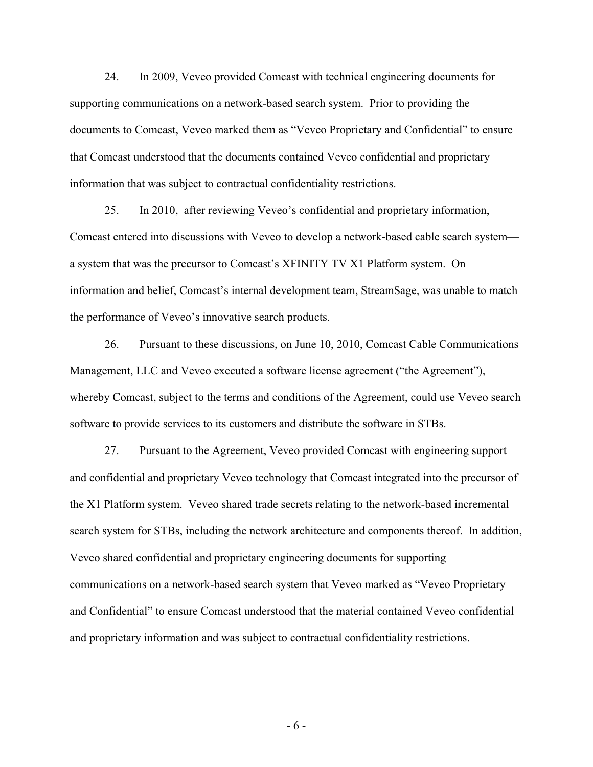24. In 2009, Veveo provided Comcast with technical engineering documents for supporting communications on a network-based search system. Prior to providing the documents to Comcast, Veveo marked them as "Veveo Proprietary and Confidential" to ensure that Comcast understood that the documents contained Veveo confidential and proprietary information that was subject to contractual confidentiality restrictions.

25. In 2010, after reviewing Veveo's confidential and proprietary information, Comcast entered into discussions with Veveo to develop a network-based cable search system a system that was the precursor to Comcast's XFINITY TV X1 Platform system. On information and belief, Comcast's internal development team, StreamSage, was unable to match the performance of Veveo's innovative search products.

26. Pursuant to these discussions, on June 10, 2010, Comcast Cable Communications Management, LLC and Veveo executed a software license agreement ("the Agreement"), whereby Comcast, subject to the terms and conditions of the Agreement, could use Veveo search software to provide services to its customers and distribute the software in STBs.

27. Pursuant to the Agreement, Veveo provided Comcast with engineering support and confidential and proprietary Veveo technology that Comcast integrated into the precursor of the X1 Platform system. Veveo shared trade secrets relating to the network-based incremental search system for STBs, including the network architecture and components thereof. In addition, Veveo shared confidential and proprietary engineering documents for supporting communications on a network-based search system that Veveo marked as "Veveo Proprietary and Confidential" to ensure Comcast understood that the material contained Veveo confidential and proprietary information and was subject to contractual confidentiality restrictions.

- 6 -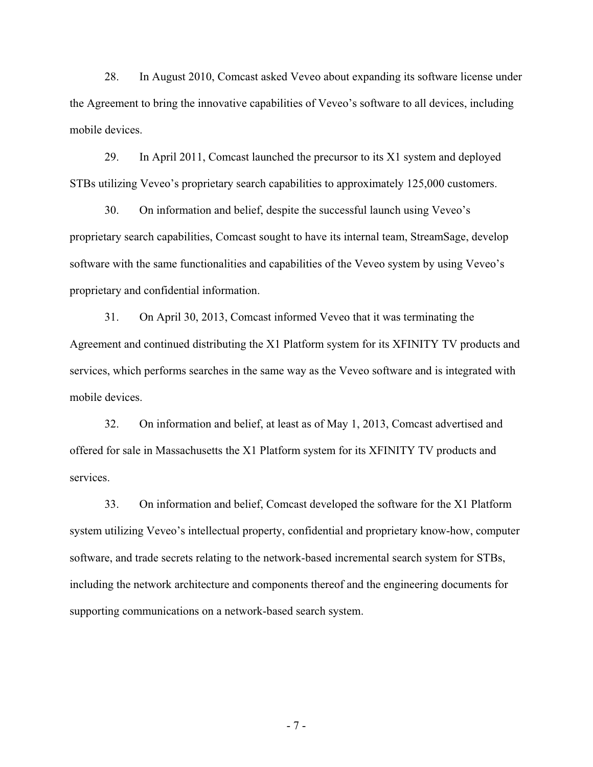28. In August 2010, Comcast asked Veveo about expanding its software license under the Agreement to bring the innovative capabilities of Veveo's software to all devices, including mobile devices.

29. In April 2011, Comcast launched the precursor to its X1 system and deployed STBs utilizing Veveo's proprietary search capabilities to approximately 125,000 customers.

30. On information and belief, despite the successful launch using Veveo's proprietary search capabilities, Comcast sought to have its internal team, StreamSage, develop software with the same functionalities and capabilities of the Veveo system by using Veveo's proprietary and confidential information.

31. On April 30, 2013, Comcast informed Veveo that it was terminating the Agreement and continued distributing the X1 Platform system for its XFINITY TV products and services, which performs searches in the same way as the Veveo software and is integrated with mobile devices.

32. On information and belief, at least as of May 1, 2013, Comcast advertised and offered for sale in Massachusetts the X1 Platform system for its XFINITY TV products and services.

33. On information and belief, Comcast developed the software for the X1 Platform system utilizing Veveo's intellectual property, confidential and proprietary know-how, computer software, and trade secrets relating to the network-based incremental search system for STBs, including the network architecture and components thereof and the engineering documents for supporting communications on a network-based search system.

- 7 -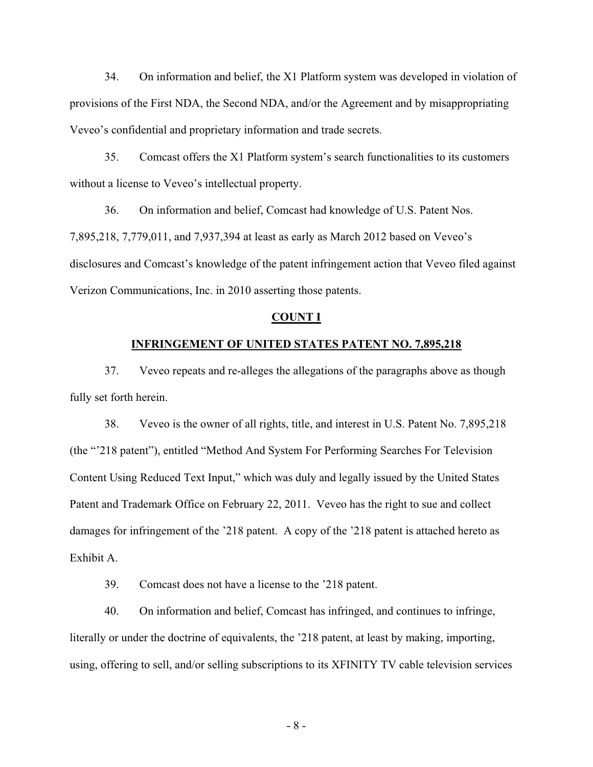34. On information and belief, the X1 Platform system was developed in violation of provisions of the First NDA, the Second NDA, and/or the Agreement and by misappropriating Veveo's confidential and proprietary information and trade secrets.

35. Comcast offers the X1 Platform system's search functionalities to its customers without a license to Veveo's intellectual property.

36. On information and belief, Comcast had knowledge of U.S. Patent Nos. 7,895,218, 7,779,011, and 7,937,394 at least as early as March 2012 based on Veveo's disclosures and Comcast's knowledge of the patent infringement action that Veveo filed against Verizon Communications, Inc. in 2010 asserting those patents.

### **COUNT I**

### **INFRINGEMENT OF UNITED STATES PATENT NO. 7,895,218**

37. Veveo repeats and re-alleges the allegations of the paragraphs above as though fully set forth herein.

38. Veveo is the owner of all rights, title, and interest in U.S. Patent No. 7,895,218 (the "'218 patent"), entitled "Method And System For Performing Searches For Television Content Using Reduced Text Input," which was duly and legally issued by the United States Patent and Trademark Office on February 22, 2011. Veveo has the right to sue and collect damages for infringement of the '218 patent. A copy of the '218 patent is attached hereto as Exhibit A.

39. Comcast does not have a license to the '218 patent.

40. On information and belief, Comcast has infringed, and continues to infringe, literally or under the doctrine of equivalents, the '218 patent, at least by making, importing, using, offering to sell, and/or selling subscriptions to its XFINITY TV cable television services

- 8 -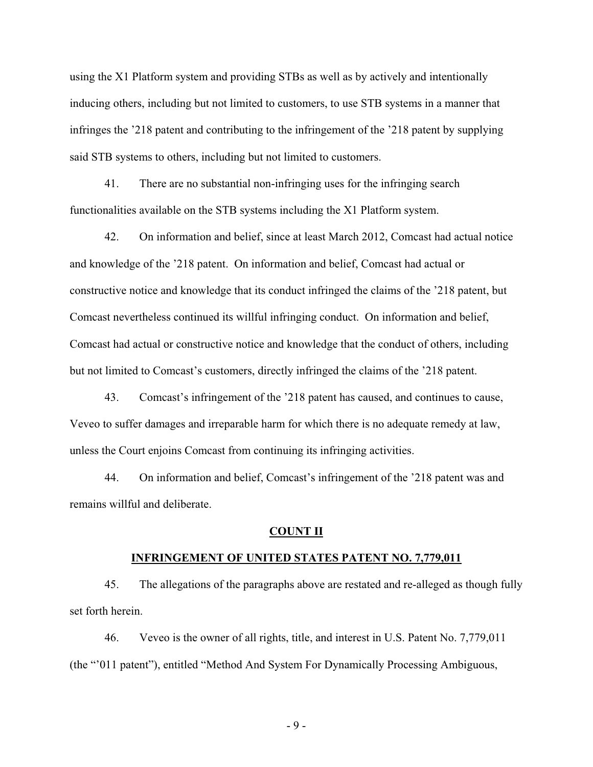using the X1 Platform system and providing STBs as well as by actively and intentionally inducing others, including but not limited to customers, to use STB systems in a manner that infringes the '218 patent and contributing to the infringement of the '218 patent by supplying said STB systems to others, including but not limited to customers.

41. There are no substantial non-infringing uses for the infringing search functionalities available on the STB systems including the X1 Platform system.

42. On information and belief, since at least March 2012, Comcast had actual notice and knowledge of the '218 patent. On information and belief, Comcast had actual or constructive notice and knowledge that its conduct infringed the claims of the '218 patent, but Comcast nevertheless continued its willful infringing conduct. On information and belief, Comcast had actual or constructive notice and knowledge that the conduct of others, including but not limited to Comcast's customers, directly infringed the claims of the '218 patent.

43. Comcast's infringement of the '218 patent has caused, and continues to cause, Veveo to suffer damages and irreparable harm for which there is no adequate remedy at law, unless the Court enjoins Comcast from continuing its infringing activities.

44. On information and belief, Comcast's infringement of the '218 patent was and remains willful and deliberate.

### **COUNT II**

#### **INFRINGEMENT OF UNITED STATES PATENT NO. 7,779,011**

45. The allegations of the paragraphs above are restated and re-alleged as though fully set forth herein.

46. Veveo is the owner of all rights, title, and interest in U.S. Patent No. 7,779,011 (the "'011 patent"), entitled "Method And System For Dynamically Processing Ambiguous,

- 9 -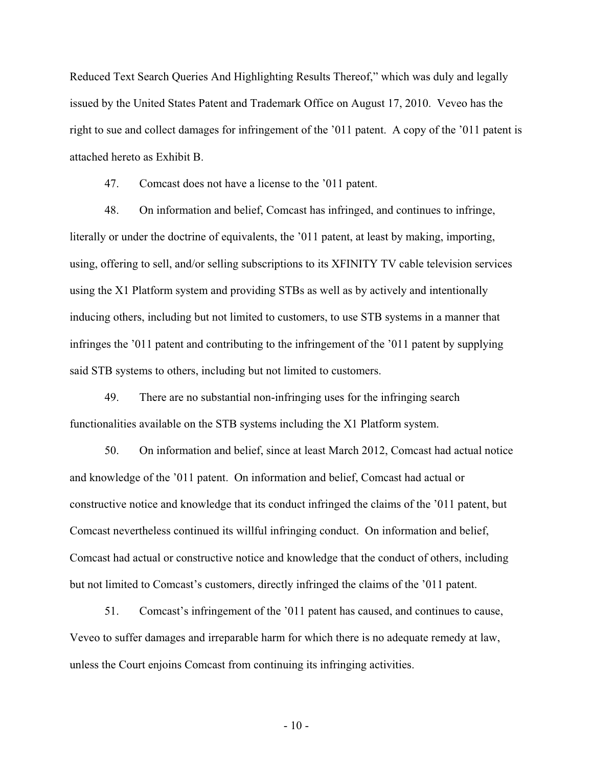Reduced Text Search Queries And Highlighting Results Thereof," which was duly and legally issued by the United States Patent and Trademark Office on August 17, 2010. Veveo has the right to sue and collect damages for infringement of the '011 patent. A copy of the '011 patent is attached hereto as Exhibit B.

47. Comcast does not have a license to the '011 patent.

48. On information and belief, Comcast has infringed, and continues to infringe, literally or under the doctrine of equivalents, the '011 patent, at least by making, importing, using, offering to sell, and/or selling subscriptions to its XFINITY TV cable television services using the X1 Platform system and providing STBs as well as by actively and intentionally inducing others, including but not limited to customers, to use STB systems in a manner that infringes the '011 patent and contributing to the infringement of the '011 patent by supplying said STB systems to others, including but not limited to customers.

49. There are no substantial non-infringing uses for the infringing search functionalities available on the STB systems including the X1 Platform system.

50. On information and belief, since at least March 2012, Comcast had actual notice and knowledge of the '011 patent. On information and belief, Comcast had actual or constructive notice and knowledge that its conduct infringed the claims of the '011 patent, but Comcast nevertheless continued its willful infringing conduct. On information and belief, Comcast had actual or constructive notice and knowledge that the conduct of others, including but not limited to Comcast's customers, directly infringed the claims of the '011 patent.

51. Comcast's infringement of the '011 patent has caused, and continues to cause, Veveo to suffer damages and irreparable harm for which there is no adequate remedy at law, unless the Court enjoins Comcast from continuing its infringing activities.

 $-10-$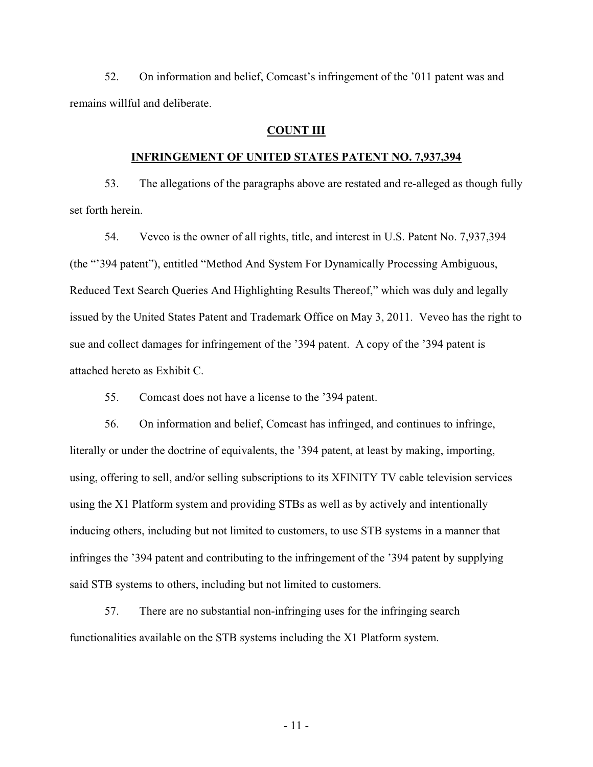52. On information and belief, Comcast's infringement of the '011 patent was and remains willful and deliberate.

# **COUNT III**

### **INFRINGEMENT OF UNITED STATES PATENT NO. 7,937,394**

53. The allegations of the paragraphs above are restated and re-alleged as though fully set forth herein.

54. Veveo is the owner of all rights, title, and interest in U.S. Patent No. 7,937,394 (the "'394 patent"), entitled "Method And System For Dynamically Processing Ambiguous, Reduced Text Search Queries And Highlighting Results Thereof," which was duly and legally issued by the United States Patent and Trademark Office on May 3, 2011. Veveo has the right to sue and collect damages for infringement of the '394 patent. A copy of the '394 patent is attached hereto as Exhibit C.

55. Comcast does not have a license to the '394 patent.

56. On information and belief, Comcast has infringed, and continues to infringe, literally or under the doctrine of equivalents, the '394 patent, at least by making, importing, using, offering to sell, and/or selling subscriptions to its XFINITY TV cable television services using the X1 Platform system and providing STBs as well as by actively and intentionally inducing others, including but not limited to customers, to use STB systems in a manner that infringes the '394 patent and contributing to the infringement of the '394 patent by supplying said STB systems to others, including but not limited to customers.

57. There are no substantial non-infringing uses for the infringing search functionalities available on the STB systems including the X1 Platform system.

- 11 -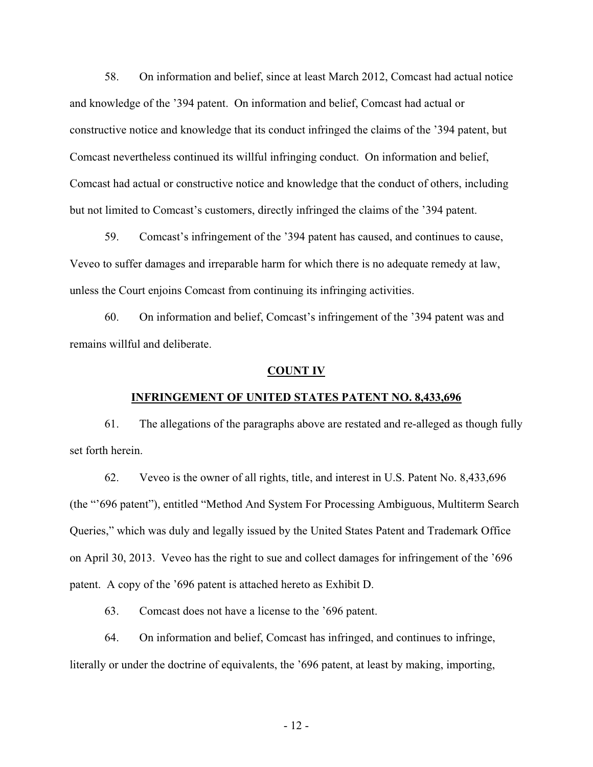58. On information and belief, since at least March 2012, Comcast had actual notice and knowledge of the '394 patent. On information and belief, Comcast had actual or constructive notice and knowledge that its conduct infringed the claims of the '394 patent, but Comcast nevertheless continued its willful infringing conduct. On information and belief, Comcast had actual or constructive notice and knowledge that the conduct of others, including but not limited to Comcast's customers, directly infringed the claims of the '394 patent.

59. Comcast's infringement of the '394 patent has caused, and continues to cause, Veveo to suffer damages and irreparable harm for which there is no adequate remedy at law, unless the Court enjoins Comcast from continuing its infringing activities.

60. On information and belief, Comcast's infringement of the '394 patent was and remains willful and deliberate.

#### **COUNT IV**

#### **INFRINGEMENT OF UNITED STATES PATENT NO. 8,433,696**

61. The allegations of the paragraphs above are restated and re-alleged as though fully set forth herein.

62. Veveo is the owner of all rights, title, and interest in U.S. Patent No. 8,433,696 (the "'696 patent"), entitled "Method And System For Processing Ambiguous, Multiterm Search Queries," which was duly and legally issued by the United States Patent and Trademark Office on April 30, 2013. Veveo has the right to sue and collect damages for infringement of the '696 patent. A copy of the '696 patent is attached hereto as Exhibit D.

63. Comcast does not have a license to the '696 patent.

64. On information and belief, Comcast has infringed, and continues to infringe, literally or under the doctrine of equivalents, the '696 patent, at least by making, importing,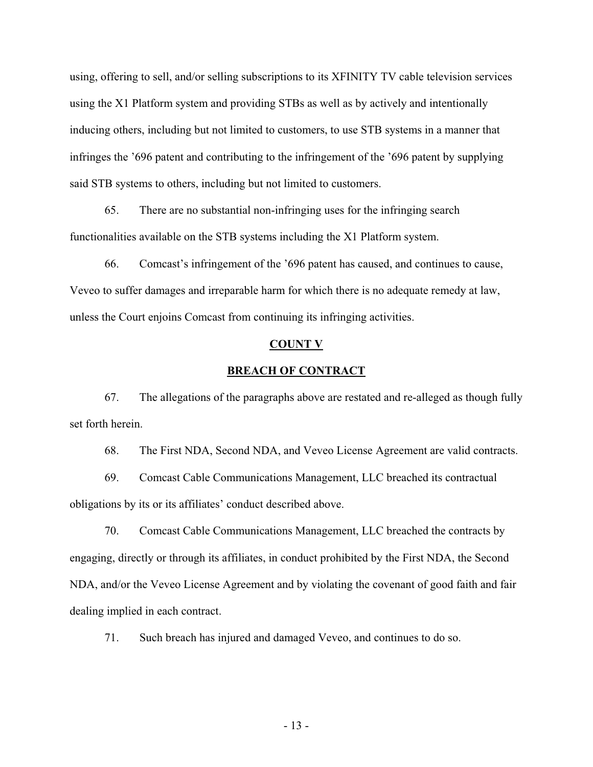using, offering to sell, and/or selling subscriptions to its XFINITY TV cable television services using the X1 Platform system and providing STBs as well as by actively and intentionally inducing others, including but not limited to customers, to use STB systems in a manner that infringes the '696 patent and contributing to the infringement of the '696 patent by supplying said STB systems to others, including but not limited to customers.

65. There are no substantial non-infringing uses for the infringing search functionalities available on the STB systems including the X1 Platform system.

66. Comcast's infringement of the '696 patent has caused, and continues to cause, Veveo to suffer damages and irreparable harm for which there is no adequate remedy at law, unless the Court enjoins Comcast from continuing its infringing activities.

# **COUNT V**

# **BREACH OF CONTRACT**

67. The allegations of the paragraphs above are restated and re-alleged as though fully set forth herein.

68. The First NDA, Second NDA, and Veveo License Agreement are valid contracts.

69. Comcast Cable Communications Management, LLC breached its contractual obligations by its or its affiliates' conduct described above.

70. Comcast Cable Communications Management, LLC breached the contracts by engaging, directly or through its affiliates, in conduct prohibited by the First NDA, the Second NDA, and/or the Veveo License Agreement and by violating the covenant of good faith and fair dealing implied in each contract.

71. Such breach has injured and damaged Veveo, and continues to do so.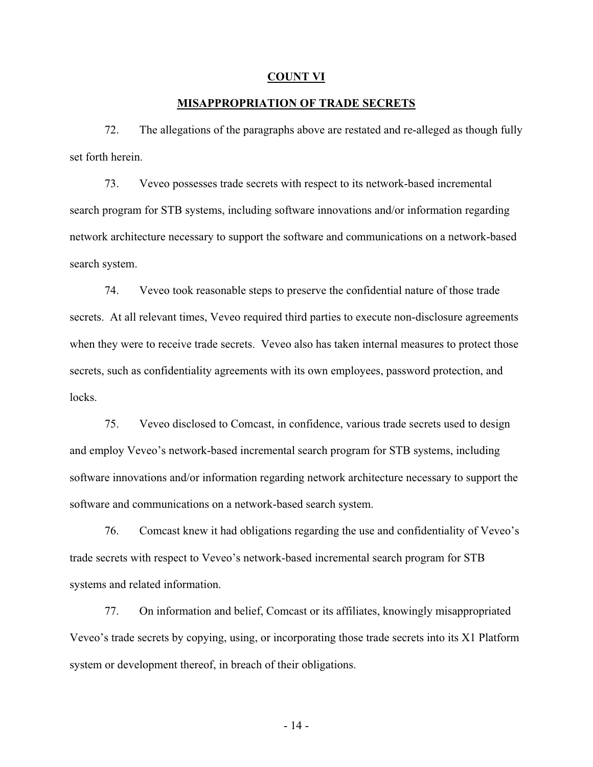#### **COUNT VI**

# **MISAPPROPRIATION OF TRADE SECRETS**

72. The allegations of the paragraphs above are restated and re-alleged as though fully set forth herein

73. Veveo possesses trade secrets with respect to its network-based incremental search program for STB systems, including software innovations and/or information regarding network architecture necessary to support the software and communications on a network-based search system.

74. Veveo took reasonable steps to preserve the confidential nature of those trade secrets. At all relevant times, Veveo required third parties to execute non-disclosure agreements when they were to receive trade secrets. Veveo also has taken internal measures to protect those secrets, such as confidentiality agreements with its own employees, password protection, and locks.

75. Veveo disclosed to Comcast, in confidence, various trade secrets used to design and employ Veveo's network-based incremental search program for STB systems, including software innovations and/or information regarding network architecture necessary to support the software and communications on a network-based search system.

76. Comcast knew it had obligations regarding the use and confidentiality of Veveo's trade secrets with respect to Veveo's network-based incremental search program for STB systems and related information.

77. On information and belief, Comcast or its affiliates, knowingly misappropriated Veveo's trade secrets by copying, using, or incorporating those trade secrets into its X1 Platform system or development thereof, in breach of their obligations.

- 14 -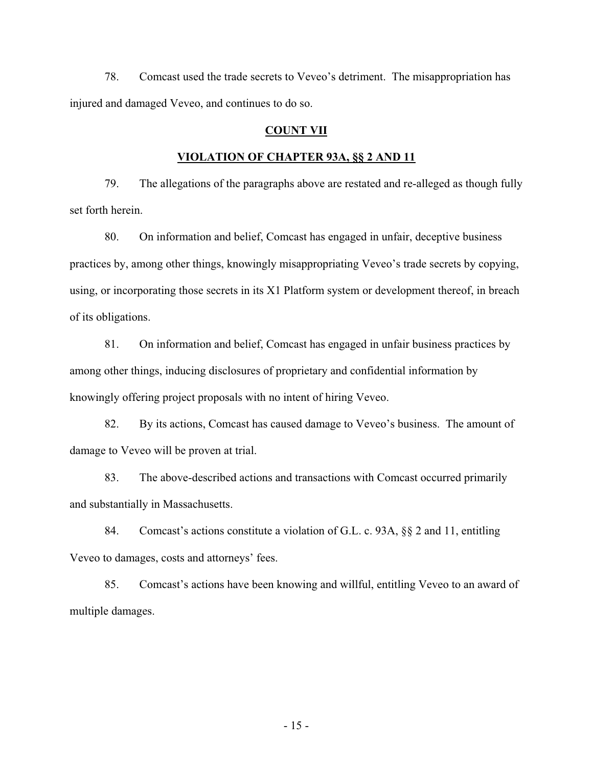78. Comcast used the trade secrets to Veveo's detriment. The misappropriation has injured and damaged Veveo, and continues to do so.

# **COUNT VII**

## **VIOLATION OF CHAPTER 93A, §§ 2 AND 11**

79. The allegations of the paragraphs above are restated and re-alleged as though fully set forth herein.

80. On information and belief, Comcast has engaged in unfair, deceptive business practices by, among other things, knowingly misappropriating Veveo's trade secrets by copying, using, or incorporating those secrets in its X1 Platform system or development thereof, in breach of its obligations.

81. On information and belief, Comcast has engaged in unfair business practices by among other things, inducing disclosures of proprietary and confidential information by knowingly offering project proposals with no intent of hiring Veveo.

82. By its actions, Comcast has caused damage to Veveo's business. The amount of damage to Veveo will be proven at trial.

83. The above-described actions and transactions with Comcast occurred primarily and substantially in Massachusetts.

84. Comcast's actions constitute a violation of G.L. c. 93A, §§ 2 and 11, entitling Veveo to damages, costs and attorneys' fees.

85. Comcast's actions have been knowing and willful, entitling Veveo to an award of multiple damages.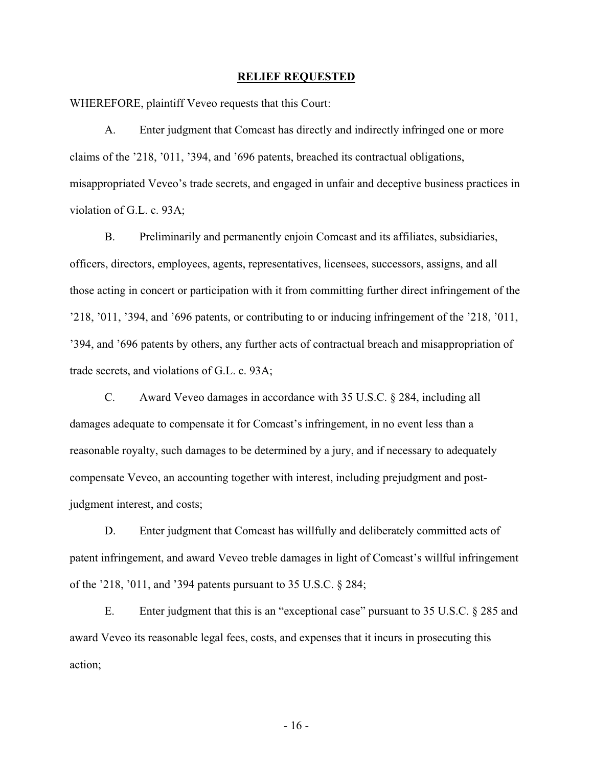#### **RELIEF REQUESTED**

WHEREFORE, plaintiff Veveo requests that this Court:

A. Enter judgment that Comcast has directly and indirectly infringed one or more claims of the '218, '011, '394, and '696 patents, breached its contractual obligations, misappropriated Veveo's trade secrets, and engaged in unfair and deceptive business practices in violation of G.L. c. 93A;

B. Preliminarily and permanently enjoin Comcast and its affiliates, subsidiaries, officers, directors, employees, agents, representatives, licensees, successors, assigns, and all those acting in concert or participation with it from committing further direct infringement of the '218, '011, '394, and '696 patents, or contributing to or inducing infringement of the '218, '011, '394, and '696 patents by others, any further acts of contractual breach and misappropriation of trade secrets, and violations of G.L. c. 93A;

C. Award Veveo damages in accordance with 35 U.S.C. § 284, including all damages adequate to compensate it for Comcast's infringement, in no event less than a reasonable royalty, such damages to be determined by a jury, and if necessary to adequately compensate Veveo, an accounting together with interest, including prejudgment and postjudgment interest, and costs;

D. Enter judgment that Comcast has willfully and deliberately committed acts of patent infringement, and award Veveo treble damages in light of Comcast's willful infringement of the '218, '011, and '394 patents pursuant to 35 U.S.C. § 284;

E. Enter judgment that this is an "exceptional case" pursuant to 35 U.S.C. § 285 and award Veveo its reasonable legal fees, costs, and expenses that it incurs in prosecuting this action;

- 16 -